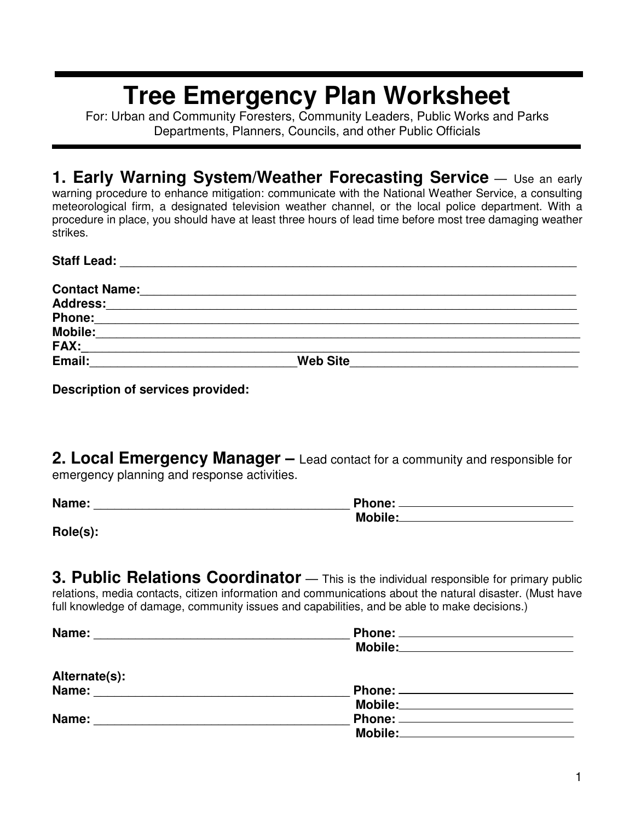# **Tree Emergency Plan Worksheet**

For: Urban and Community Foresters, Community Leaders, Public Works and Parks Departments, Planners, Councils, and other Public Officials

**1. Early Warning System/Weather Forecasting Service** — Use an early warning procedure to enhance mitigation: communicate with the National Weather Service, a consulting meteorological firm, a designated television weather channel, or the local police department. With a procedure in place, you should have at least three hours of lead time before most tree damaging weather strikes.

| <b>Staff Lead:</b>   |                 |  |
|----------------------|-----------------|--|
| <b>Contact Name:</b> |                 |  |
| <b>Address:</b>      |                 |  |
| <b>Phone:</b>        |                 |  |
| <b>Mobile:</b>       |                 |  |
| <b>FAX:</b>          |                 |  |
| Email:               | <b>Web Site</b> |  |

**Description of services provided:**

**2. Local Emergency Manager –** Lead contact for a community and responsible for emergency planning and response activities.

| Name: | Phone:  |
|-------|---------|
|       | Mobile: |

**Role(s):**

**3. Public Relations Coordinator** — This is the individual responsible for primary public relations, media contacts, citizen information and communications about the natural disaster. (Must have full knowledge of damage, community issues and capabilities, and be able to make decisions.)

| Name:<br><u> 1989 - Johann John Stein, markin f</u> |  |
|-----------------------------------------------------|--|
|                                                     |  |
| Alternate(s):                                       |  |
| Name: <u>___________________</u>                    |  |
|                                                     |  |
| Name:                                               |  |
|                                                     |  |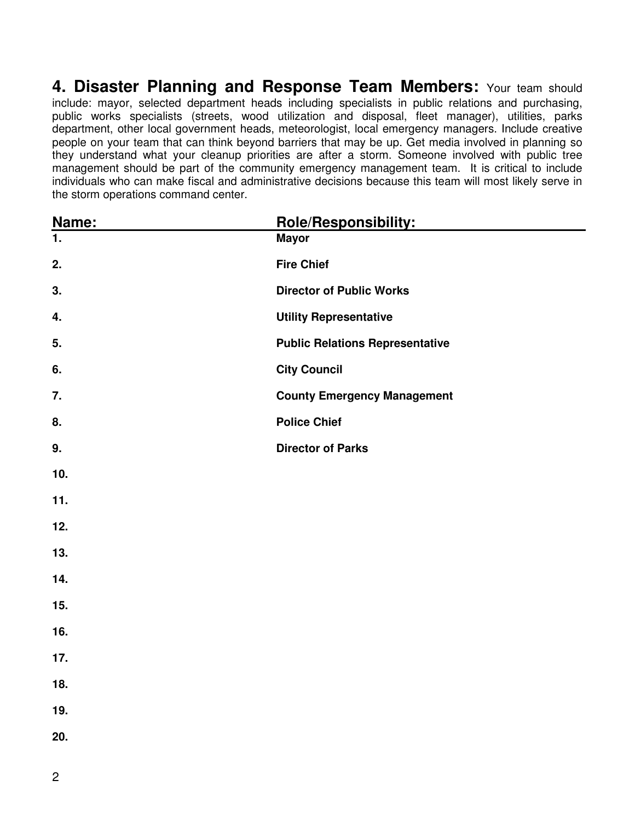**4. Disaster Planning and Response Team Members:** Your team should include: mayor, selected department heads including specialists in public relations and purchasing, public works specialists (streets, wood utilization and disposal, fleet manager), utilities, parks department, other local government heads, meteorologist, local emergency managers. Include creative people on your team that can think beyond barriers that may be up. Get media involved in planning so they understand what your cleanup priorities are after a storm. Someone involved with public tree management should be part of the community emergency management team. It is critical to include individuals who can make fiscal and administrative decisions because this team will most likely serve in the storm operations command center.

| Name:          | <b>Role/Responsibility:</b>            |
|----------------|----------------------------------------|
| $\mathbf{1}$ . | <b>Mayor</b>                           |
| 2.             | <b>Fire Chief</b>                      |
| 3.             | <b>Director of Public Works</b>        |
| 4.             | <b>Utility Representative</b>          |
| 5.             | <b>Public Relations Representative</b> |
| 6.             | <b>City Council</b>                    |
| 7.             | <b>County Emergency Management</b>     |
| 8.             | <b>Police Chief</b>                    |
| 9.             | <b>Director of Parks</b>               |
| 10.            |                                        |
| 11.            |                                        |
| 12.            |                                        |
| 13.            |                                        |
| 14.            |                                        |
| 15.            |                                        |
| 16.            |                                        |
| 17.            |                                        |
| 18.            |                                        |
| 19.            |                                        |
| 20.            |                                        |
|                |                                        |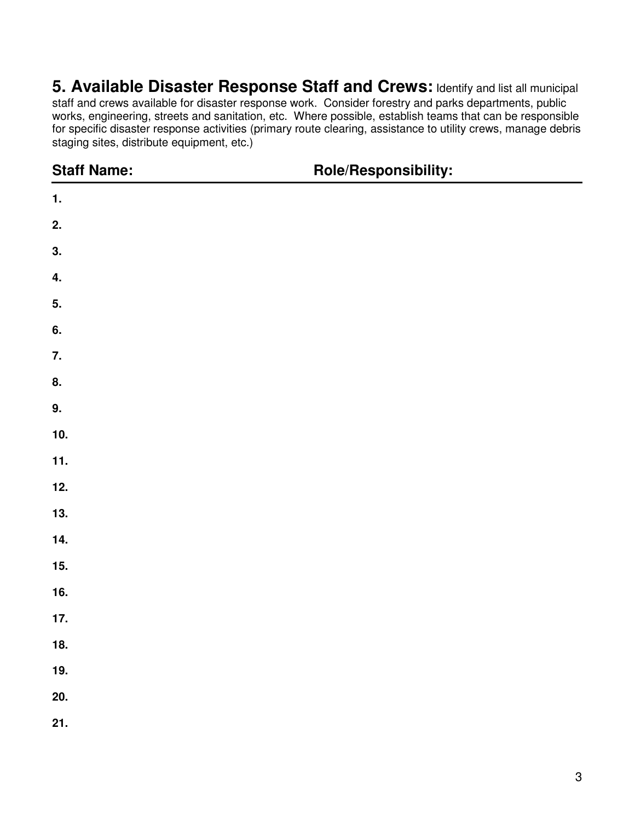#### **5. Available Disaster Response Staff and Crews:** Identify and list all municipal staff and crews available for disaster response work. Consider forestry and parks departments, public works, engineering, streets and sanitation, etc. Where possible, establish teams that can be responsible for specific disaster response activities (primary route clearing, assistance to utility crews, manage debris staging sites, distribute equipment, etc.)

| <b>Staff Name:</b> | Role/Responsibility: |  |
|--------------------|----------------------|--|
| $\mathbf{1}$ .     |                      |  |
| 2.                 |                      |  |
| 3.                 |                      |  |
| 4.                 |                      |  |
| 5.                 |                      |  |
| 6.                 |                      |  |
| 7.                 |                      |  |
| 8.                 |                      |  |
| 9.                 |                      |  |
| 10.                |                      |  |
| 11.                |                      |  |
| 12.                |                      |  |
| 13.                |                      |  |
| 14.                |                      |  |
| 15.                |                      |  |
| 16.                |                      |  |
| 17.                |                      |  |
| 18.                |                      |  |
| 19.                |                      |  |
| 20.                |                      |  |
| 21.                |                      |  |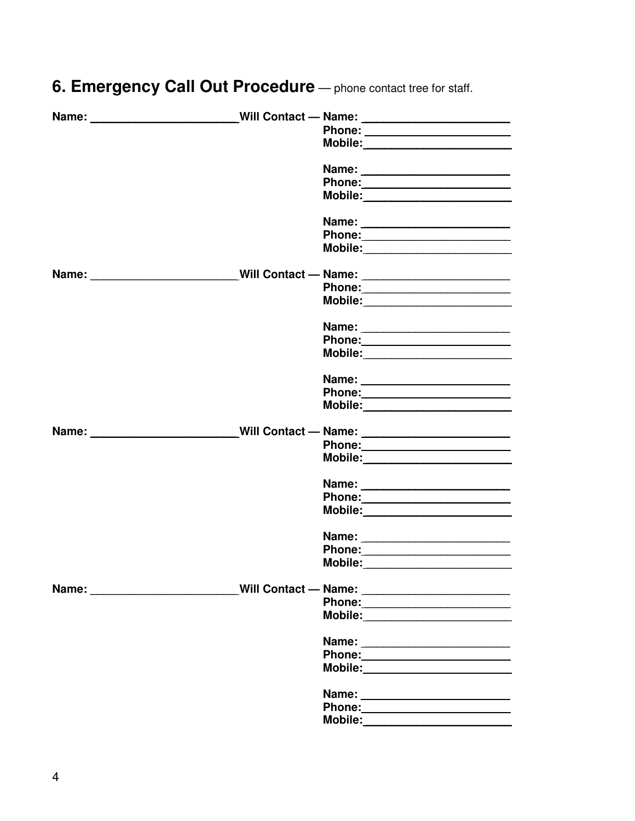|  | Name: _____________________________Will Contact — Name: ________________________ |
|--|----------------------------------------------------------------------------------|
|  | Phone: _______________________                                                   |
|  | Mobile:__________________________                                                |
|  | Name: _________________________                                                  |
|  | Phone: ___________________________                                               |
|  | Mobile:___________________________                                               |
|  |                                                                                  |
|  | Name: __________________________                                                 |
|  | Phone: _________________________                                                 |
|  | Mobile:_______________________                                                   |
|  | Name: ___________________________Will Contact — Name: __________________________ |
|  | Phone: ________________________                                                  |
|  | Mobile:________________________                                                  |
|  |                                                                                  |
|  | Name: ___________________________                                                |
|  |                                                                                  |
|  |                                                                                  |
|  |                                                                                  |
|  |                                                                                  |
|  | Mobile:________________________                                                  |
|  | Name: ____________________________Will Contact - Name: _________________________ |
|  |                                                                                  |
|  |                                                                                  |
|  | Mobile:_________________________                                                 |
|  |                                                                                  |
|  | Phone: ________________________                                                  |
|  | Mobile:_________________________                                                 |
|  |                                                                                  |
|  |                                                                                  |
|  | Mobile:_______________________                                                   |
|  | Name: __________________________Will Contact - Name: ___________________________ |
|  |                                                                                  |
|  |                                                                                  |
|  | Mobile:___________________________                                               |
|  |                                                                                  |
|  |                                                                                  |
|  | Mobile:__________________________                                                |
|  |                                                                                  |
|  |                                                                                  |
|  |                                                                                  |

## 6. Emergency Call Out Procedure - phone contact tree for staff.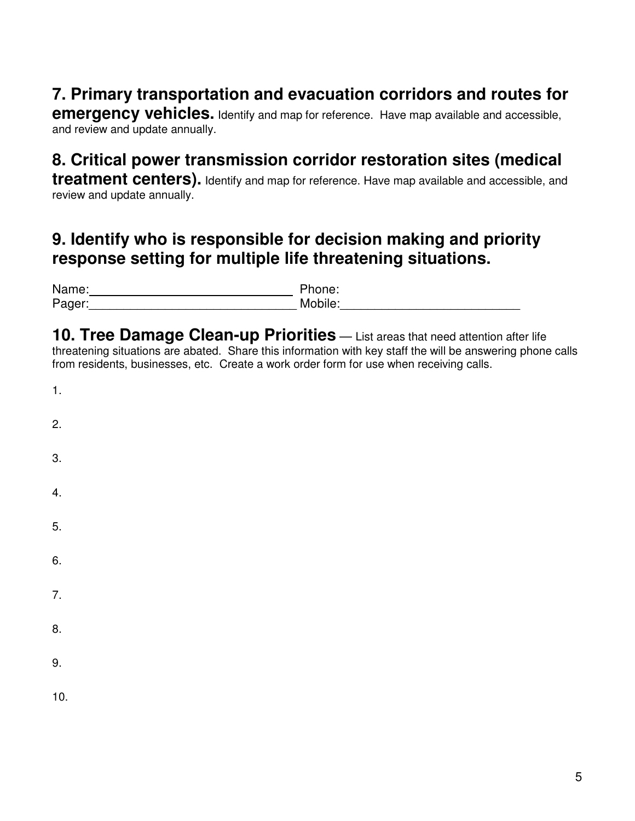### **7. Primary transportation and evacuation corridors and routes for**

**emergency vehicles.** Identify and map for reference. Have map available and accessible, and review and update annually.

# **8. Critical power transmission corridor restoration sites (medical**

**treatment centers).** Identify and map for reference. Have map available and accessible, and review and update annually.

#### **9. Identify who is responsible for decision making and priority response setting for multiple life threatening situations.**

| Name:  | Phone:  |
|--------|---------|
| Pager: | Mobile: |

**10. Tree Damage Clean-up Priorities** — List areas that need attention after life threatening situations are abated. Share this information with key staff the will be answering phone calls from residents, businesses, etc. Create a work order form for use when receiving calls.

| $\mathbf{1}$ .   |  |  |  |
|------------------|--|--|--|
| 2.               |  |  |  |
| $\overline{3}$ . |  |  |  |
| $\overline{4}$ . |  |  |  |
| 5.               |  |  |  |
| 6.               |  |  |  |
| $\overline{7}$ . |  |  |  |
| 8.               |  |  |  |
| 9.               |  |  |  |
| 10.              |  |  |  |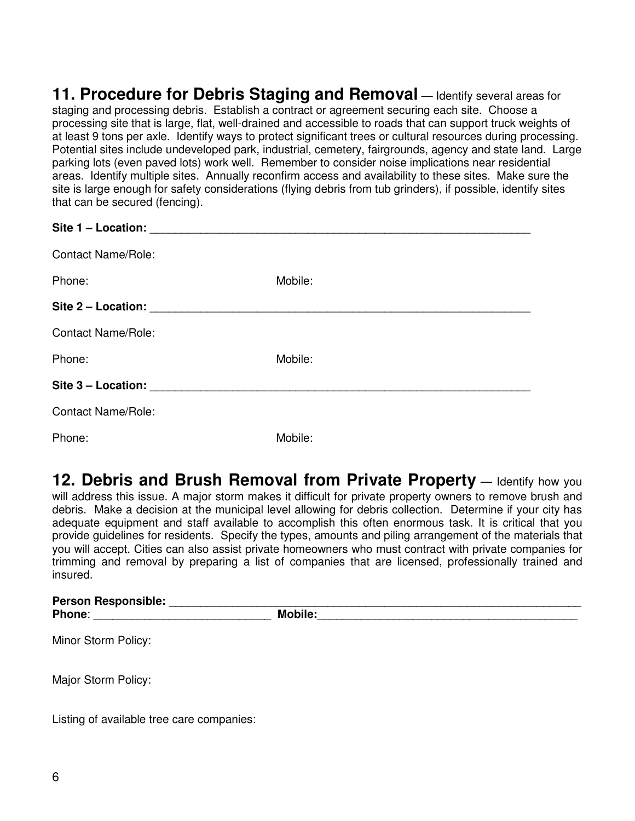**11. Procedure for Debris Staging and Removal** — Identify several areas for staging and processing debris. Establish a contract or agreement securing each site. Choose a processing site that is large, flat, well-drained and accessible to roads that can support truck weights of at least 9 tons per axle. Identify ways to protect significant trees or cultural resources during processing. Potential sites include undeveloped park, industrial, cemetery, fairgrounds, agency and state land. Large parking lots (even paved lots) work well. Remember to consider noise implications near residential areas. Identify multiple sites. Annually reconfirm access and availability to these sites. Make sure the site is large enough for safety considerations (flying debris from tub grinders), if possible, identify sites that can be secured (fencing).

| <b>Contact Name/Role:</b> |         |
|---------------------------|---------|
| Phone:                    | Mobile: |
|                           |         |
| <b>Contact Name/Role:</b> |         |
| Phone:                    | Mobile: |
|                           |         |
| <b>Contact Name/Role:</b> |         |
| Phone:                    | Mobile: |

**12. Debris and Brush Removal from Private Property** — Identify how you will address this issue. A major storm makes it difficult for private property owners to remove brush and debris. Make a decision at the municipal level allowing for debris collection. Determine if your city has adequate equipment and staff available to accomplish this often enormous task. It is critical that you provide guidelines for residents. Specify the types, amounts and piling arrangement of the materials that you will accept. Cities can also assist private homeowners who must contract with private companies for trimming and removal by preparing a list of companies that are licensed, professionally trained and insured.

| <b>Person Responsible:</b> |                |  |
|----------------------------|----------------|--|
| Phone:                     | <b>Mobile:</b> |  |
|                            |                |  |

Minor Storm Policy:

Major Storm Policy:

Listing of available tree care companies: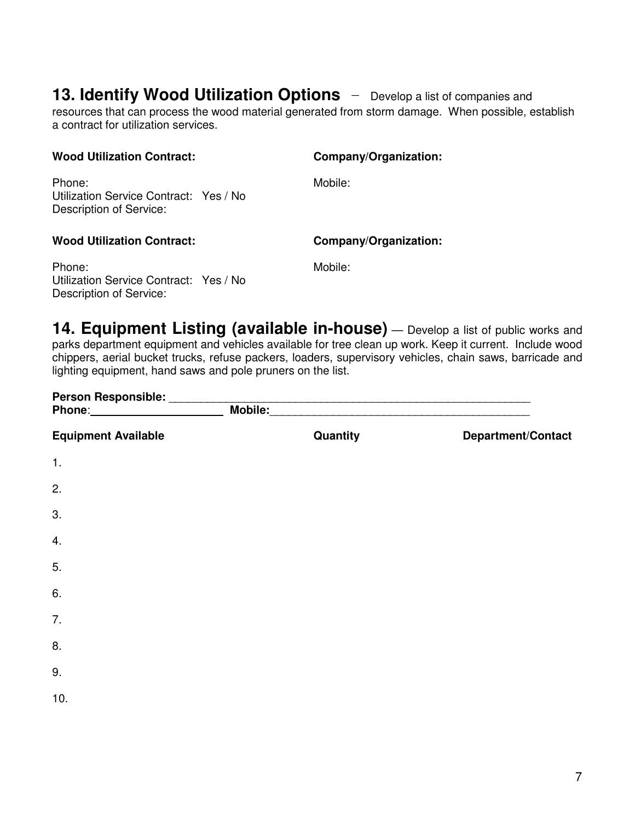**13. Identify Wood Utilization Options** – Develop <sup>a</sup> list of companies and resources that can process the wood material generated from storm damage. When possible, establish a contract for utilization services.

| <b>Wood Utilization Contract:</b>                                           | Company/Organization: |
|-----------------------------------------------------------------------------|-----------------------|
| Phone:<br>Utilization Service Contract: Yes / No<br>Description of Service: | Mobile:               |
| <b>Wood Utilization Contract:</b>                                           | Company/Organization: |
| Phone:<br>Utilization Service Contract: Yes / No                            | Mobile:               |

**14. Equipment Listing (available in-house)** — Develop <sup>a</sup> list of public works and parks department equipment and vehicles available for tree clean up work. Keep it current. Include wood chippers, aerial bucket trucks, refuse packers, loaders, supervisory vehicles, chain saws, barricade and lighting equipment, hand saws and pole pruners on the list.

| Person Responsible: __________ | Mobile: | the control of the control of the control of the control of the control of the control of the control of the control of the control of the control of the control of the control of the control of the control of the control |                    |
|--------------------------------|---------|-------------------------------------------------------------------------------------------------------------------------------------------------------------------------------------------------------------------------------|--------------------|
| <b>Equipment Available</b>     |         | Quantity                                                                                                                                                                                                                      | Department/Contact |
| 1.                             |         |                                                                                                                                                                                                                               |                    |
| 2.                             |         |                                                                                                                                                                                                                               |                    |
| 3.                             |         |                                                                                                                                                                                                                               |                    |
| 4.                             |         |                                                                                                                                                                                                                               |                    |
| 5.                             |         |                                                                                                                                                                                                                               |                    |
| 6.                             |         |                                                                                                                                                                                                                               |                    |
| 7.                             |         |                                                                                                                                                                                                                               |                    |
| 8.                             |         |                                                                                                                                                                                                                               |                    |
| 9.                             |         |                                                                                                                                                                                                                               |                    |
| 10.                            |         |                                                                                                                                                                                                                               |                    |
|                                |         |                                                                                                                                                                                                                               |                    |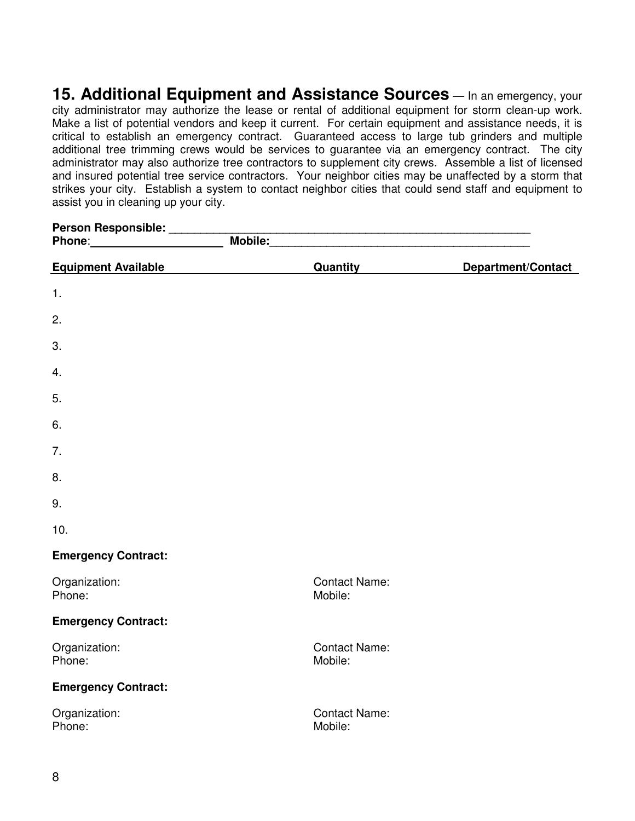**15. Additional Equipment and Assistance Sources** — In an emergency, your city administrator may authorize the lease or rental of additional equipment for storm clean-up work. Make a list of potential vendors and keep it current. For certain equipment and assistance needs, it is critical to establish an emergency contract. Guaranteed access to large tub grinders and multiple additional tree trimming crews would be services to guarantee via an emergency contract. The city administrator may also authorize tree contractors to supplement city crews. Assemble a list of licensed and insured potential tree service contractors. Your neighbor cities may be unaffected by a storm that strikes your city. Establish a system to contact neighbor cities that could send staff and equipment to assist you in cleaning up your city.

| Person Responsible: _________<br>Phone: New York Phone: | Mobile:                         |                           |
|---------------------------------------------------------|---------------------------------|---------------------------|
| <b>Equipment Available</b>                              | <b>Quantity</b>                 | <b>Department/Contact</b> |
| 1.                                                      |                                 |                           |
| 2.                                                      |                                 |                           |
| 3.                                                      |                                 |                           |
| 4.                                                      |                                 |                           |
| 5.                                                      |                                 |                           |
| 6.                                                      |                                 |                           |
| 7.                                                      |                                 |                           |
| 8.                                                      |                                 |                           |
| 9.                                                      |                                 |                           |
| 10.                                                     |                                 |                           |
| <b>Emergency Contract:</b>                              |                                 |                           |
| Organization:<br>Phone:                                 | <b>Contact Name:</b><br>Mobile: |                           |
| <b>Emergency Contract:</b>                              |                                 |                           |
| Organization:<br>Phone:                                 | <b>Contact Name:</b><br>Mobile: |                           |
| <b>Emergency Contract:</b>                              |                                 |                           |
| Organization:<br>Phone:                                 | <b>Contact Name:</b><br>Mobile: |                           |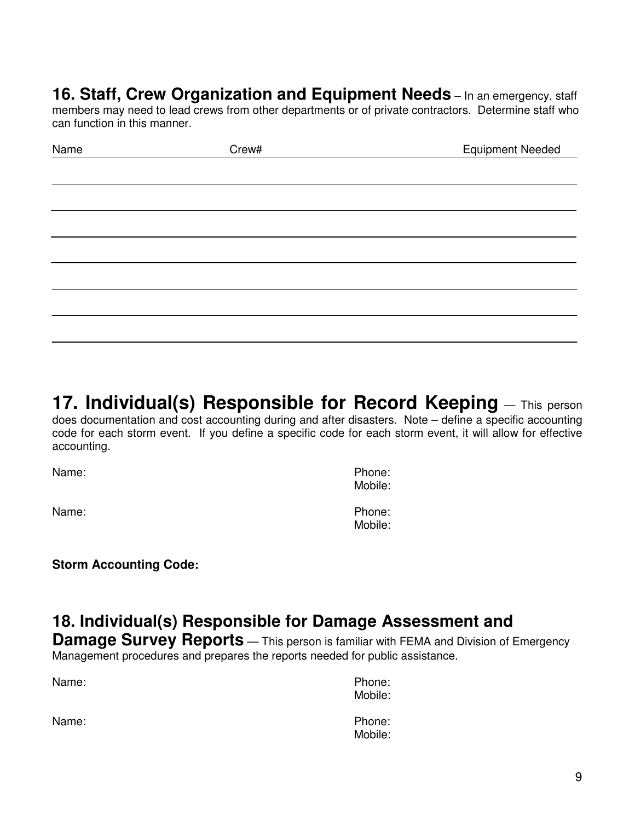**16. Staff, Crew Organization and Equipment Needs** – In an emergency, staff members may need to lead crews from other departments or of private contractors. Determine staff who can function in this manner.

| Crew# | <b>Equipment Needed</b> |
|-------|-------------------------|
|       |                         |
|       |                         |
|       |                         |
|       |                         |
|       |                         |
|       |                         |
|       |                         |
|       |                         |
|       |                         |

**17. Individual(s) Responsible for Record Keeping** — This person does documentation and cost accounting during and after disasters. Note – define a specific accounting code for each storm event. If you define a specific code for each storm event, it will allow for effective accounting.

Name: **Name:** Phone: Phone: Phone: Phone: Phone: Phone: Phone: Phone: Phone: Phone: Phone: Phone: Phone: Phone: Phone: Phone: Phone: Phone: Phone: Phone: Phone: Phone: Phone: Phone: Phone: Phone: Phone: Phone: Phone: Phone Mobile:

Name: **Name:** Phone: Phone: Phone: Phone: Phone: Phone: Phone: Phone: Phone: Phone: Phone: Phone: Phone: Phone: Phone: Phone: Phone: Phone: Phone: Phone: Phone: Phone: Phone: Phone: Phone: Phone: Phone: Phone: Phone: Phone Mobile:

**Storm Accounting Code:**

#### **18. Individual(s) Responsible for Damage Assessment and**

**Damage Survey Reports** — This person is familiar with FEMA and Division of Emergency Management procedures and prepares the reports needed for public assistance.

Name: **Name:** Phone: Phone: Phone: Phone: Phone: Phone: Phone: Phone: Phone: Phone: Phone: Phone: Phone: Phone: Phone: Phone: Phone: Phone: Phone: Phone: Phone: Phone: Phone: Phone: Phone: Phone: Phone: Phone: Phone: Phone Mobile:

Name: The example of the example of the example of the example of the example of the example of the example of the example of the example of the example of the example of the example of the example of the example of the ex Mobile: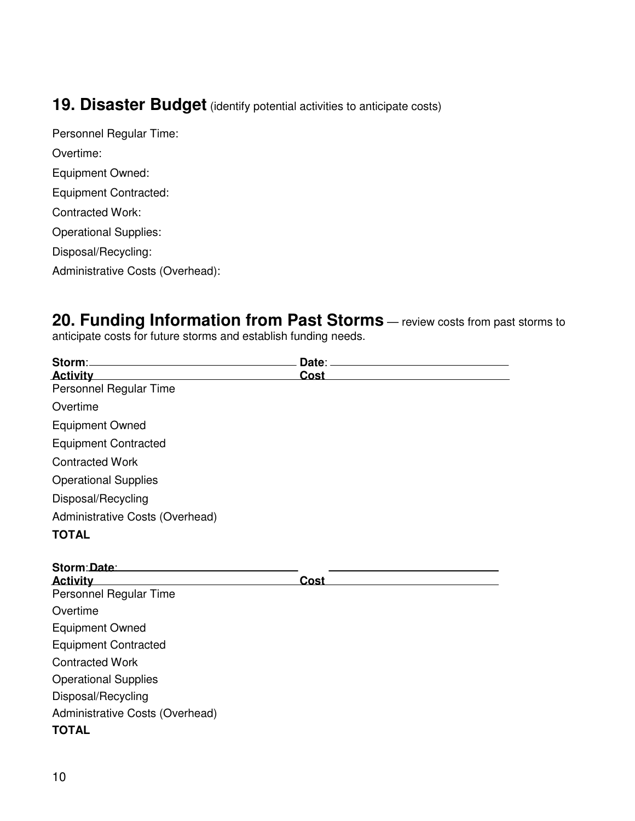## **19. Disaster Budget** (identify potential activities to anticipate costs)

Personnel Regular Time: Overtime: Equipment Owned: Equipment Contracted: Contracted Work: Operational Supplies: Disposal/Recycling:

Administrative Costs (Overhead):

**20. Funding Information from Past Storms** — review costs from past storms to anticipate costs for future storms and establish funding needs.

| Activity Activity Activity Activity Activity Activity Activity Activity Activity Activity Activity Activity Activity                     | Cost and the cost of the cost of the cost of the cost of the cost of the cost of the cost of the cost of the cost of the cost of the cost of the cost of the cost of the cost of the cost of the cost of the cost of the cost |
|------------------------------------------------------------------------------------------------------------------------------------------|-------------------------------------------------------------------------------------------------------------------------------------------------------------------------------------------------------------------------------|
| Personnel Regular Time                                                                                                                   |                                                                                                                                                                                                                               |
| Overtime                                                                                                                                 |                                                                                                                                                                                                                               |
| <b>Equipment Owned</b>                                                                                                                   |                                                                                                                                                                                                                               |
| <b>Equipment Contracted</b>                                                                                                              |                                                                                                                                                                                                                               |
| <b>Contracted Work</b>                                                                                                                   |                                                                                                                                                                                                                               |
| <b>Operational Supplies</b>                                                                                                              |                                                                                                                                                                                                                               |
| Disposal/Recycling                                                                                                                       |                                                                                                                                                                                                                               |
| Administrative Costs (Overhead)                                                                                                          |                                                                                                                                                                                                                               |
| <b>TOTAL</b>                                                                                                                             |                                                                                                                                                                                                                               |
|                                                                                                                                          |                                                                                                                                                                                                                               |
|                                                                                                                                          |                                                                                                                                                                                                                               |
| <b>Activity</b><br><u> 1989 - Johann Barn, mars ann an t-Amhain Aonaich an t-Aonaich an t-Aonaich an t-Aonaich an t-Aonaich an t-Aon</u> | Cost<br>the control of the control of the control of the control of the control of                                                                                                                                            |
| Personnel Regular Time                                                                                                                   |                                                                                                                                                                                                                               |
| Overtime                                                                                                                                 |                                                                                                                                                                                                                               |
| <b>Equipment Owned</b>                                                                                                                   |                                                                                                                                                                                                                               |
| <b>Equipment Contracted</b>                                                                                                              |                                                                                                                                                                                                                               |
| <b>Contracted Work</b>                                                                                                                   |                                                                                                                                                                                                                               |
| <b>Operational Supplies</b>                                                                                                              |                                                                                                                                                                                                                               |
| Disposal/Recycling                                                                                                                       |                                                                                                                                                                                                                               |
| Administrative Costs (Overhead)                                                                                                          |                                                                                                                                                                                                                               |
| <b>TOTAL</b>                                                                                                                             |                                                                                                                                                                                                                               |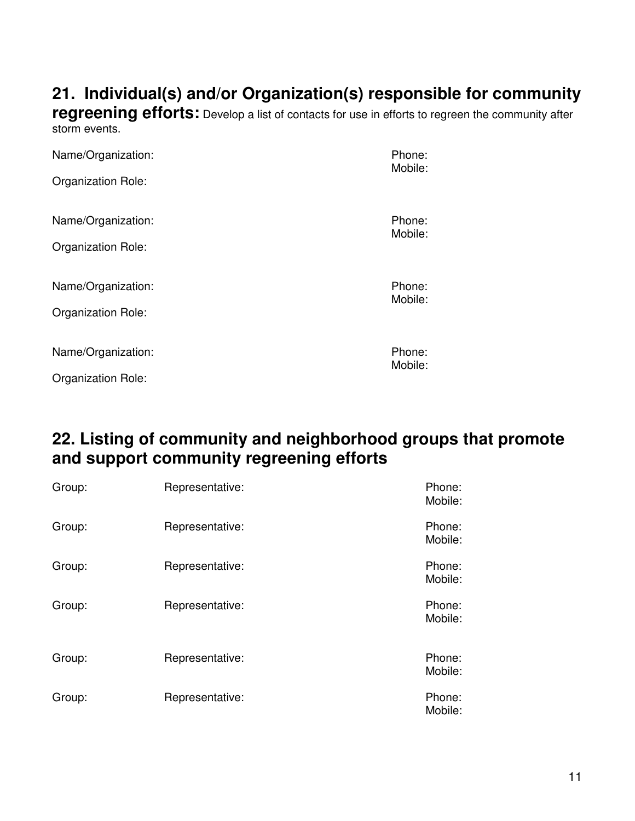### **21. Individual(s) and/or Organization(s) responsible for community**

**regreening efforts:** Develop <sup>a</sup> list of contacts for use in efforts to regreen the community after storm events.

| Name/Organization:<br><b>Organization Role:</b> | Phone:<br>Mobile: |
|-------------------------------------------------|-------------------|
|                                                 |                   |
| Name/Organization:                              | Phone:<br>Mobile: |
| <b>Organization Role:</b>                       |                   |
| Name/Organization:                              | Phone:<br>Mobile: |
| <b>Organization Role:</b>                       |                   |
| Name/Organization:                              | Phone:<br>Mobile: |
| <b>Organization Role:</b>                       |                   |

#### **22. Listing of community and neighborhood groups that promote and support community regreening efforts**

| Group: | Representative: | Phone:<br>Mobile: |
|--------|-----------------|-------------------|
| Group: | Representative: | Phone:<br>Mobile: |
| Group: | Representative: | Phone:<br>Mobile: |
| Group: | Representative: | Phone:<br>Mobile: |
| Group: | Representative: | Phone:<br>Mobile: |
| Group: | Representative: | Phone:<br>Mobile: |